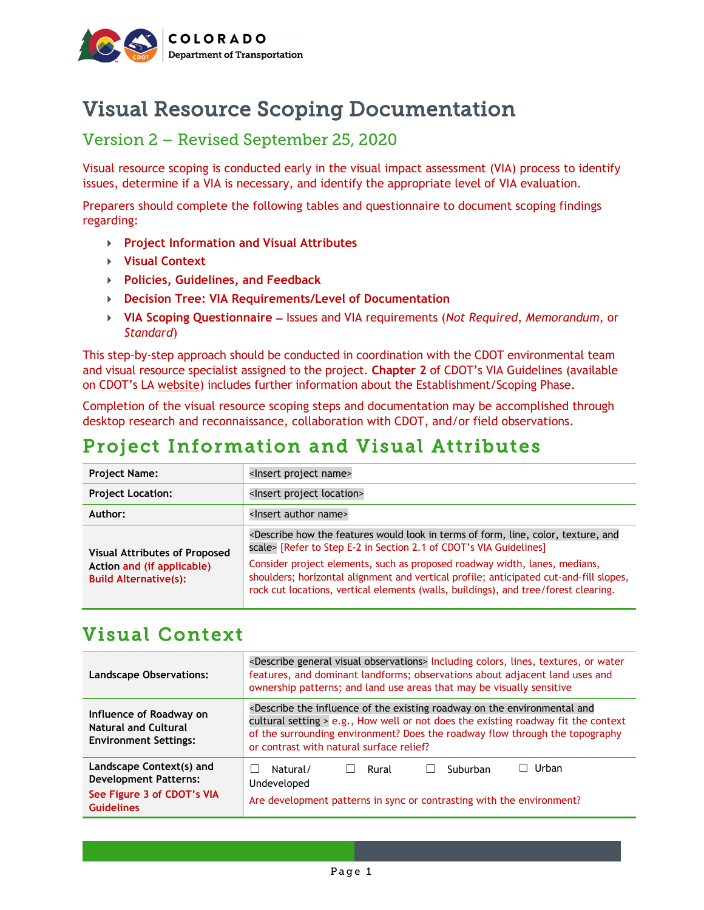

# Visual Resource Scoping Documentation

## Version 2 – Revised September 25, 2020

Visual resource scoping is conducted early in the visual impact assessment (VIA) process to identify issues, determine if a VIA is necessary, and identify the appropriate level of VIA evaluation.

Preparers should complete the following tables and questionnaire to document scoping findings regarding:

- **Project Information and Visual Attributes**
- **Visual Context**
- **Policies, Guidelines, and Feedback**
- **Decision Tree: VIA Requirements/Level of Documentation**
- **VIA Scoping Questionnaire** − Issues and VIA requirements (*Not Required*, *Memorandum,* or *Standard*)

This step-by-step approach should be conducted in coordination with the CDOT environmental team and visual resource specialist assigned to the project. **Chapter 2** of CDOT's VIA Guidelines (available on CDOT's LA [website\)](https://www.codot.gov/programs/environmental/landscape-architecture) includes further information about the Establishment/Scoping Phase.

Completion of the visual resource scoping steps and documentation may be accomplished through desktop research and reconnaissance, collaboration with CDOT, and/or field observations.

# Project Information and Visual Attributes

| <b>Project Name:</b>                                                                               | <lnsert name="" project=""></lnsert>                                                                                                                                                                                                                                                                                                                                                                                                                                           |  |  |
|----------------------------------------------------------------------------------------------------|--------------------------------------------------------------------------------------------------------------------------------------------------------------------------------------------------------------------------------------------------------------------------------------------------------------------------------------------------------------------------------------------------------------------------------------------------------------------------------|--|--|
| <b>Project Location:</b>                                                                           | <lnsert location="" project=""></lnsert>                                                                                                                                                                                                                                                                                                                                                                                                                                       |  |  |
| Author:                                                                                            | <lnsert author="" name=""></lnsert>                                                                                                                                                                                                                                                                                                                                                                                                                                            |  |  |
| <b>Visual Attributes of Proposed</b><br>Action and (if applicable)<br><b>Build Alternative(s):</b> | <describe and<br="" color,="" features="" form,="" how="" in="" line,="" look="" of="" terms="" texture,="" the="" would="">scale&gt; [Refer to Step E-2 in Section 2.1 of CDOT's VIA Guidelines]<br/>Consider project elements, such as proposed roadway width, lanes, medians,<br/>shoulders; horizontal alignment and vertical profile; anticipated cut-and-fill slopes,<br/>rock cut locations, vertical elements (walls, buildings), and tree/forest clearing.</describe> |  |  |

## Visual Context

| <b>Landscape Observations:</b>                                                                              | <describe general="" observations="" visual=""> Including colors, lines, textures, or water<br/>features, and dominant landforms; observations about adjacent land uses and<br/>ownership patterns; and land use areas that may be visually sensitive</describe>                                                           |  |  |  |
|-------------------------------------------------------------------------------------------------------------|----------------------------------------------------------------------------------------------------------------------------------------------------------------------------------------------------------------------------------------------------------------------------------------------------------------------------|--|--|--|
| Influence of Roadway on<br><b>Natural and Cultural</b><br><b>Environment Settings:</b>                      | <describe and<br="" environmental="" existing="" influence="" of="" on="" roadway="" the="">cultural setting &gt; e.g., How well or not does the existing roadway fit the context<br/>of the surrounding environment? Does the roadway flow through the topography<br/>or contrast with natural surface relief?</describe> |  |  |  |
| Landscape Context(s) and<br><b>Development Patterns:</b><br>See Figure 3 of CDOT's VIA<br><b>Guidelines</b> | Urban<br>Natural/<br>Suburban<br>Rural<br>Undeveloped<br>Are development patterns in sync or contrasting with the environment?                                                                                                                                                                                             |  |  |  |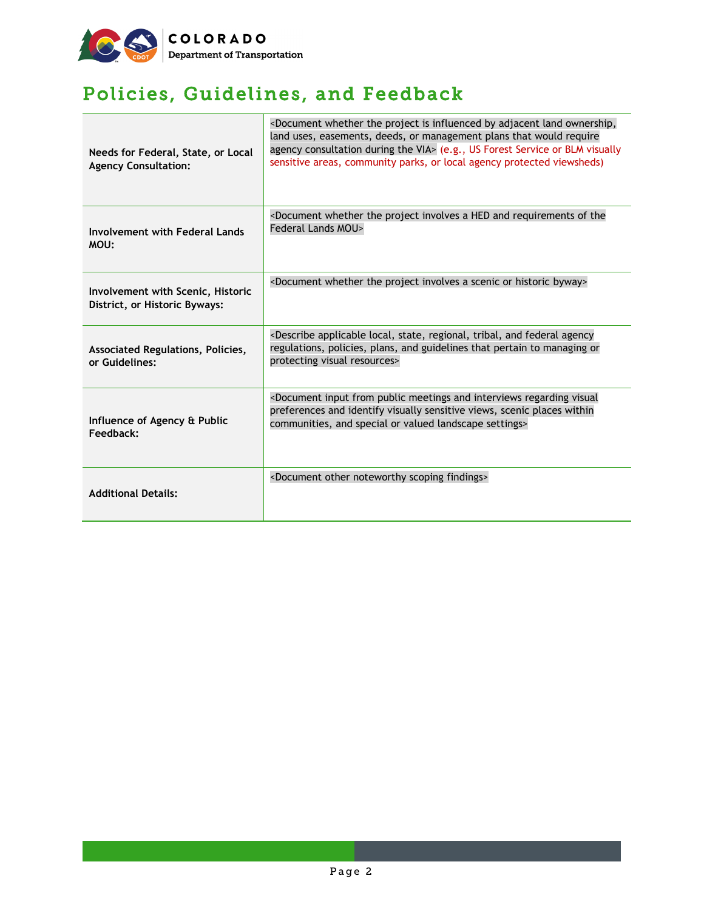

# Policies, Guidelines, and Feedback

| Needs for Federal, State, or Local<br><b>Agency Consultation:</b>         | <document adjacent="" by="" influenced="" is="" land="" ownership,<br="" project="" the="" whether="">land uses, easements, deeds, or management plans that would require<br/>agency consultation during the VIA&gt; (e.g., US Forest Service or BLM visually<br/>sensitive areas, community parks, or local agency protected viewsheds)</document> |  |  |
|---------------------------------------------------------------------------|-----------------------------------------------------------------------------------------------------------------------------------------------------------------------------------------------------------------------------------------------------------------------------------------------------------------------------------------------------|--|--|
| <b>Involvement with Federal Lands</b><br>MOU:                             | <document a="" and="" hed="" involves="" of="" project="" requirements="" the="" the<br="" whether="">Federal Lands MOU&gt;</document>                                                                                                                                                                                                              |  |  |
| <b>Involvement with Scenic, Historic</b><br>District, or Historic Byways: | <document a="" byway="" historic="" involves="" or="" project="" scenic="" the="" whether=""></document>                                                                                                                                                                                                                                            |  |  |
| Associated Regulations, Policies,<br>or Guidelines:                       | <describe agency<br="" and="" applicable="" federal="" local,="" regional,="" state,="" tribal,="">regulations, policies, plans, and guidelines that pertain to managing or<br/>protecting visual resources&gt;</describe>                                                                                                                          |  |  |
| Influence of Agency & Public<br>Feedback:                                 | <document and="" from="" input="" interviews="" meetings="" public="" regarding="" visual<br="">preferences and identify visually sensitive views, scenic places within<br/>communities, and special or valued landscape settings&gt;</document>                                                                                                    |  |  |
| <b>Additional Details:</b>                                                | <document findings="" noteworthy="" other="" scoping=""></document>                                                                                                                                                                                                                                                                                 |  |  |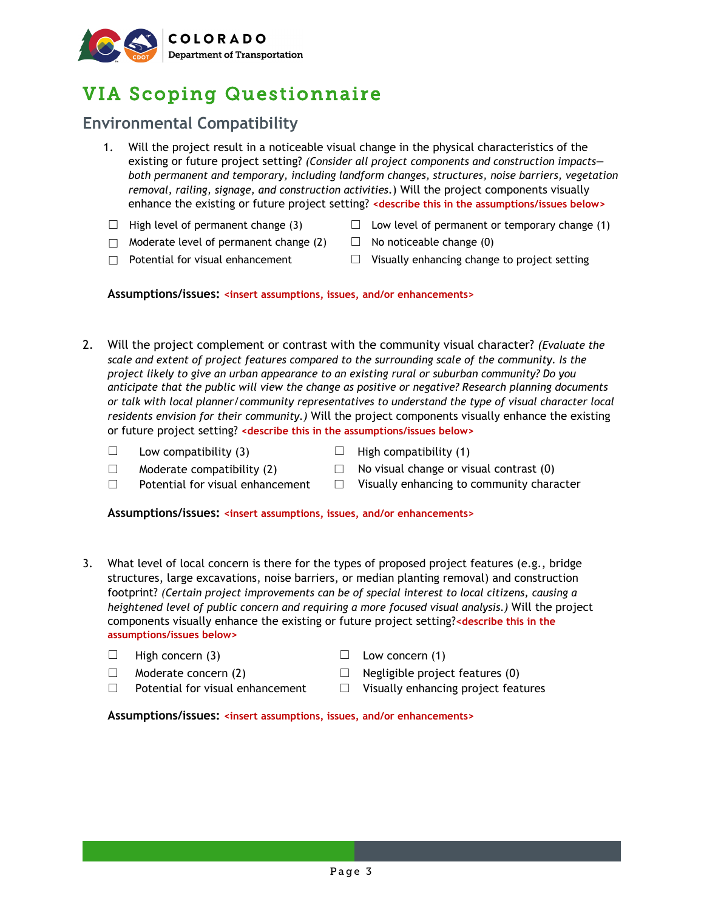

# VIA Scoping Questionnaire

## **Environmental Compatibility**

- 1. Will the project result in a noticeable visual change in the physical characteristics of the existing or future project setting? *(Consider all project components and construction impacts both permanent and temporary, including landform changes, structures, noise barriers, vegetation removal, railing, signage, and construction activities*.) Will the project components visually enhance the existing or future project setting? **<describe this in the assumptions/issues below>**
- 
- $□$  High level of permanent change (3)  $□$  Low level of permanent or temporary change (1)
- $\Box$  Moderate level of permanent change (2)  $\Box$  No noticeable change (0)
- 
- ☐ Potential for visual enhancement ☐ Visually enhancing change to project setting

**Assumptions/issues: <insert assumptions, issues, and/or enhancements>**

- 2. Will the project complement or contrast with the community visual character? *(Evaluate the scale and extent of project features compared to the surrounding scale of the community. Is the project likely to give an urban appearance to an existing rural or suburban community? Do you anticipate that the public will view the change as positive or negative? Research planning documents or talk with local planner/community representatives to understand the type of visual character local residents envision for their community.)* Will the project components visually enhance the existing or future project setting? **<describe this in the assumptions/issues below>**
	- $\Box$  Low compatibility (3)  $\Box$  High compatibility (1)
- -
	- $\Box$  Moderate compatibility (2)  $\Box$  No visual change or visual contrast (0)
	- ☐ Potential for visual enhancement ☐ Visually enhancing to community character

**Assumptions/issues: <insert assumptions, issues, and/or enhancements>**

- 3. What level of local concern is there for the types of proposed project features (e.g., bridge structures, large excavations, noise barriers, or median planting removal) and construction footprint? *(Certain project improvements can be of special interest to local citizens, causing a heightened level of public concern and requiring a more focused visual analysis.)* Will the project components visually enhance the existing or future project setting?**<describe this in the assumptions/issues below>**
	- $\Box$  High concern (3)  $\Box$  Low concern (1)
	-
- 
- $\Box$  Moderate concern (2)  $\Box$  Negligible project features (0)
- $□$  Potential for visual enhancement  $□$  Visually enhancing project features

**Assumptions/issues: <insert assumptions, issues, and/or enhancements>**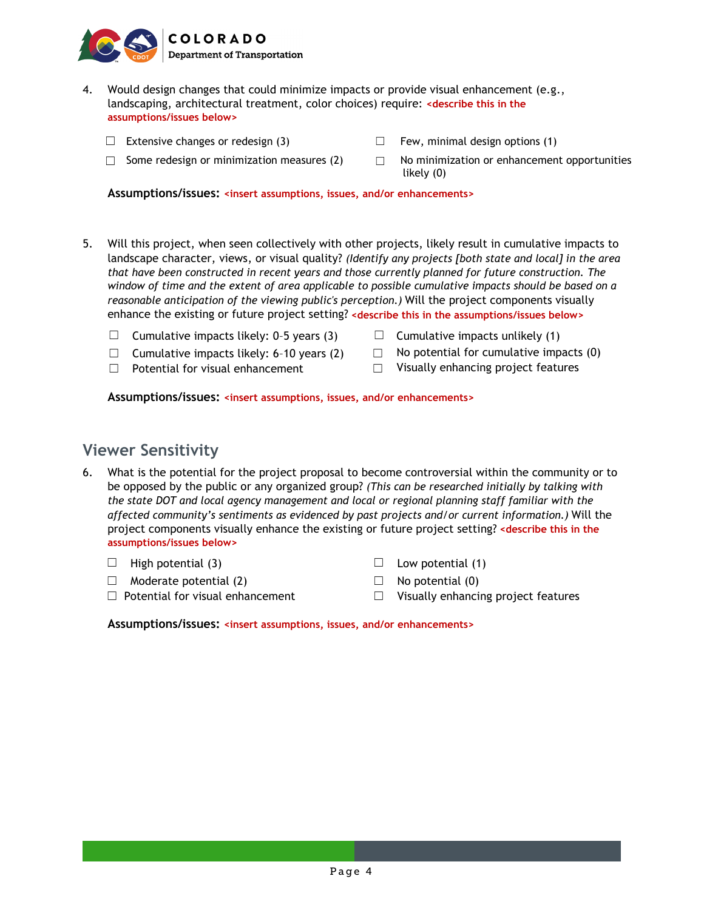

- 4. Would design changes that could minimize impacts or provide visual enhancement (e.g., landscaping, architectural treatment, color choices) require: **<describe this in the assumptions/issues below>**
	- $\Box$  Extensive changes or redesign (3)  $\Box$  Few, minimal design options (1)
	-
- 
- □ Some redesign or minimization measures (2)  $□$  No minimization or enhancement opportunities likely (0)

**Assumptions/issues: <insert assumptions, issues, and/or enhancements>**

- 5. Will this project, when seen collectively with other projects, likely result in cumulative impacts to landscape character, views, or visual quality? *(Identify any projects [both state and local] in the area that have been constructed in recent years and those currently planned for future construction. The window of time and the extent of area applicable to possible cumulative impacts should be based on a reasonable anticipation of the viewing public's perception.)* Will the project components visually enhance the existing or future project setting? **<describe this in the assumptions/issues below>**
	- □ Cumulative impacts likely: 0-5 years (3) □ Cumulative impacts unlikely (1)
	- □ Cumulative impacts likely: 6-10 years (2)  $□$  No potential for cumulative impacts (0)
	-
- 
- 
- ☐ Potential for visual enhancement ☐ Visually enhancing project features

**Assumptions/issues: <insert assumptions, issues, and/or enhancements>**

### **Viewer Sensitivity**

6. What is the potential for the project proposal to become controversial within the community or to be opposed by the public or any organized group? *(This can be researched initially by talking with the state DOT and local agency management and local or regional planning staff familiar with the affected community's sentiments as evidenced by past projects and/or current information.)* Will the project components visually enhance the existing or future project setting? **<describe this in the assumptions/issues below>**

 $\Box$  High potential (3)  $\Box$  Low potential (1)

- $\Box$  Moderate potential (2)  $\Box$  No potential (0)
- 
- 
- 
- ☐ Potential for visual enhancement ☐ Visually enhancing project features

**Assumptions/issues: <insert assumptions, issues, and/or enhancements>**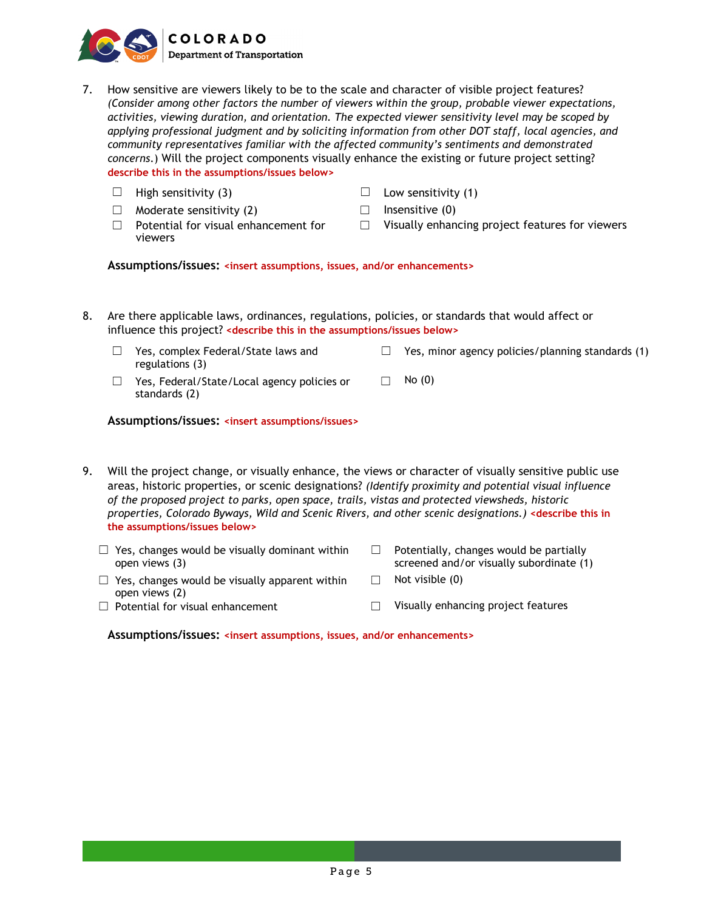

- 7. How sensitive are viewers likely to be to the scale and character of visible project features? *(Consider among other factors the number of viewers within the group, probable viewer expectations, activities, viewing duration, and orientation. The expected viewer sensitivity level may be scoped by applying professional judgment and by soliciting information from other DOT staff, local agencies, and community representatives familiar with the affected community's sentiments and demonstrated concerns*.) Will the project components visually enhance the existing or future project setting? **describe this in the assumptions/issues below>**
	- $\Box$  High sensitivity (3)  $\Box$  Low sensitivity (1)  $\Box$  Moderate sensitivity (2)  $\Box$  Insensitive (0)  $\Box$  Potential for visual enhancement for viewers ☐ Visually enhancing project features for viewers

**Assumptions/issues: <insert assumptions, issues, and/or enhancements>**

- 8. Are there applicable laws, ordinances, regulations, policies, or standards that would affect or influence this project? **<describe this in the assumptions/issues below>**
	- ☐ Yes, complex Federal/State laws and regulations (3)  $\Box$  Yes, minor agency policies/planning standards (1)
	- ☐ Yes, Federal/State/Local agency policies or standards (2)  $\Box$  No (0)

#### **Assumptions/issues: <insert assumptions/issues>**

- 9. Will the project change, or visually enhance, the views or character of visually sensitive public use areas, historic properties, or scenic designations? *(Identify proximity and potential visual influence of the proposed project to parks, open space, trails, vistas and protected viewsheds, historic properties, Colorado Byways, Wild and Scenic Rivers, and other scenic designations.)* **<describe this in the assumptions/issues below>**
	- $\Box$  Yes, changes would be visually dominant within open views (3)  $\Box$  Potentially, changes would be partially screened and/or visually subordinate (1)  $\Box$  Yes, changes would be visually apparent within open views (2)  $\Box$  Not visible (0) ☐ Potential for visual enhancement ☐ Visually enhancing project features

**Assumptions/issues: <insert assumptions, issues, and/or enhancements>**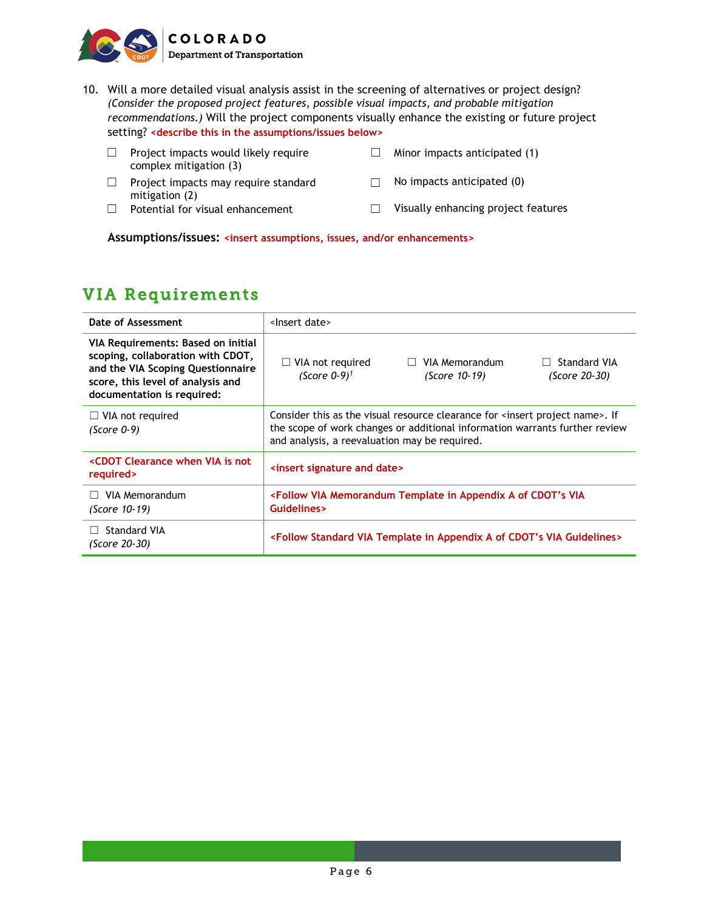

- 10. Will a more detailed visual analysis assist in the screening of alternatives or project design? *(Consider the proposed project features, possible visual impacts, and probable mitigation recommendations.)* Will the project components visually enhance the existing or future project setting? **<describe this in the assumptions/issues below>**
	- ☐ Project impacts would likely require complex mitigation (3)
	- ☐ Project impacts may require standard mitigation (2)
	-
- $\Box$  Minor impacts anticipated (1)
- $\Box$  No impacts anticipated (0)
- ☐ Potential for visual enhancement ☐ Visually enhancing project features

**Assumptions/issues: <insert assumptions, issues, and/or enhancements>**

## VIA Requirements

| Date of Assessment                                                                                                                                                              | <lnsert date=""></lnsert>                                                                                                                                                                                                     |                                 |                               |
|---------------------------------------------------------------------------------------------------------------------------------------------------------------------------------|-------------------------------------------------------------------------------------------------------------------------------------------------------------------------------------------------------------------------------|---------------------------------|-------------------------------|
| VIA Requirements: Based on initial<br>scoping, collaboration with CDOT,<br>and the VIA Scoping Questionnaire<br>score, this level of analysis and<br>documentation is required: | $\Box$ VIA not required<br>(Score $0-9$ ) <sup>1</sup>                                                                                                                                                                        | VIA Memorandum<br>(Score 10-19) | Standard VIA<br>(Score 20-30) |
| $\Box$ VIA not required<br>(Score 0-9)                                                                                                                                          | Consider this as the visual resource clearance for <insert name="" project="">. If<br/>the scope of work changes or additional information warrants further review<br/>and analysis, a reevaluation may be required.</insert> |                                 |                               |
| <cdot clearance="" is="" not<br="" via="" when="">required&gt;</cdot>                                                                                                           | <insert and="" date="" signature=""></insert>                                                                                                                                                                                 |                                 |                               |
| VIA Memorandum<br>(Score 10-19)                                                                                                                                                 | <follow a="" appendix="" cdot's="" in="" memorandum="" of="" template="" via="" via<br="">Guidelines&gt;</follow>                                                                                                             |                                 |                               |
| <b>Standard VIA</b><br>(Score 20-30)                                                                                                                                            | <follow a="" appendix="" cdot's="" guidelines="" in="" of="" standard="" template="" via=""></follow>                                                                                                                         |                                 |                               |